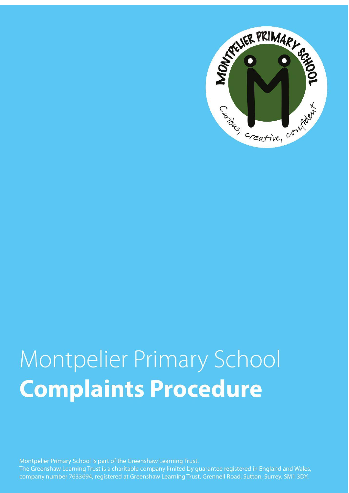

# Montpelier Primary School **Complaints Procedure**

Montpelier Primary School is part of the Greenshaw Learning Trust. The Greenshaw Learning Trust is a charitable company limited by guarantee registered in England and Wales, company number 7633694, registered at Greenshaw Learning Trust, Grennell Road, Sutton, Surrey, SM1 3DY.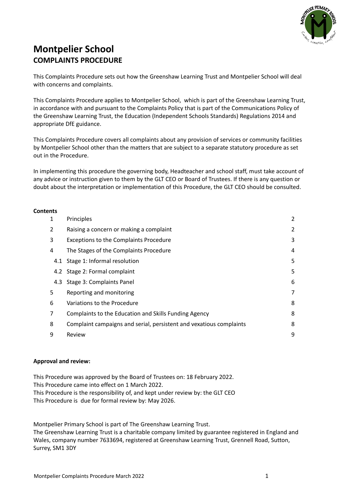

# **Montpelier School COMPLAINTS PROCEDURE**

This Complaints Procedure sets out how the Greenshaw Learning Trust and Montpelier School will deal with concerns and complaints.

This Complaints Procedure applies to Montpelier School, which is part of the Greenshaw Learning Trust, in accordance with and pursuant to the Complaints Policy that is part of the Communications Policy of the Greenshaw Learning Trust, the Education (Independent Schools Standards) Regulations 2014 and appropriate DfE guidance.

This Complaints Procedure covers all complaints about any provision of services or community facilities by Montpelier School other than the matters that are subject to a separate statutory procedure as set out in the Procedure.

In implementing this procedure the governing body, Headteacher and school staff, must take account of any advice or instruction given to them by the GLT CEO or Board of Trustees. If there is any question or doubt about the interpretation or implementation of this Procedure, the GLT CEO should be consulted.

#### **Contents**

| 1 | Principles                                                          | 2 |
|---|---------------------------------------------------------------------|---|
| 2 | Raising a concern or making a complaint                             | 2 |
| 3 | <b>Exceptions to the Complaints Procedure</b>                       | 3 |
| 4 | The Stages of the Complaints Procedure                              | 4 |
|   | 4.1 Stage 1: Informal resolution                                    | 5 |
|   | 4.2 Stage 2: Formal complaint                                       | 5 |
|   | 4.3 Stage 3: Complaints Panel                                       | 6 |
| 5 | Reporting and monitoring                                            | 7 |
| 6 | Variations to the Procedure                                         | 8 |
| 7 | Complaints to the Education and Skills Funding Agency               | 8 |
| 8 | Complaint campaigns and serial, persistent and vexatious complaints | 8 |
| 9 | Review                                                              | 9 |
|   |                                                                     |   |

#### **Approval and review:**

This Procedure was approved by the Board of Trustees on: 18 February 2022. This Procedure came into effect on 1 March 2022. This Procedure is the responsibility of, and kept under review by: the GLT CEO This Procedure is due for formal review by: May 2026.

Montpelier Primary School is part of The Greenshaw Learning Trust. The Greenshaw Learning Trust is a charitable company limited by guarantee registered in England and Wales, company number 7633694, registered at Greenshaw Learning Trust, Grennell Road, Sutton, Surrey, SM1 3DY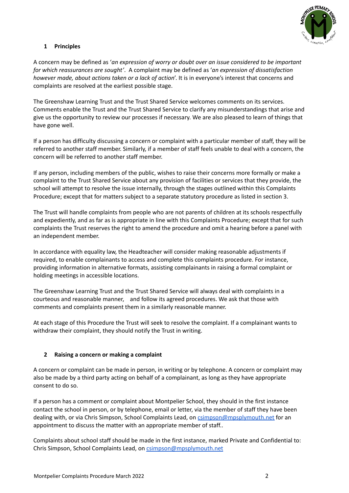

# <span id="page-2-0"></span>**1 Principles**

A concern may be defined as '*an expression of worry or doubt over an issue considered to be important for which reassurances are sought'*. A complaint may be defined as '*an expression of dissatisfaction however made, about actions taken or a lack of action*'. It is in everyone's interest that concerns and complaints are resolved at the earliest possible stage.

The Greenshaw Learning Trust and the Trust Shared Service welcomes comments on its services. Comments enable the Trust and the Trust Shared Service to clarify any misunderstandings that arise and give us the opportunity to review our processes if necessary. We are also pleased to learn of things that have gone well.

If a person has difficulty discussing a concern or complaint with a particular member of staff, they will be referred to another staff member. Similarly, if a member of staff feels unable to deal with a concern, the concern will be referred to another staff member.

If any person, including members of the public, wishes to raise their concerns more formally or make a complaint to the Trust Shared Service about any provision of facilities or services that they provide, the school will attempt to resolve the issue internally, through the stages outlined within this Complaints Procedure; except that for matters subject to a separate statutory procedure as listed in section 3.

The Trust will handle complaints from people who are not parents of children at its schools respectfully and expediently, and as far as is appropriate in line with this Complaints Procedure; except that for such complaints the Trust reserves the right to amend the procedure and omit a hearing before a panel with an independent member.

In accordance with equality law, the Headteacher will consider making reasonable adjustments if required, to enable complainants to access and complete this complaints procedure. For instance, providing information in alternative formats, assisting complainants in raising a formal complaint or holding meetings in accessible locations.

The Greenshaw Learning Trust and the Trust Shared Service will always deal with complaints in a courteous and reasonable manner, and follow its agreed procedures. We ask that those with comments and complaints present them in a similarly reasonable manner.

At each stage of this Procedure the Trust will seek to resolve the complaint. If a complainant wants to withdraw their complaint, they should notify the Trust in writing.

# <span id="page-2-1"></span>**2 Raising a concern or making a complaint**

A concern or complaint can be made in person, in writing or by telephone. A concern or complaint may also be made by a third party acting on behalf of a complainant, as long as they have appropriate consent to do so.

If a person has a comment or complaint about Montpelier School, they should in the first instance contact the school in person, or by telephone, email or letter, via the member of staff they have been dealing with, or via Chris Simpson, School Complaints Lead, on [csimpson@mpsplymouth.net](mailto:csimpson@mpsplymouth.net) for an appointment to discuss the matter with an appropriate member of staff..

Complaints about school staff should be made in the first instance, marked Private and Confidential to: Chris Simpson, School Complaints Lead, on [csimpson@mpsplymouth.net](mailto:csimpson@mpsplymouth.net)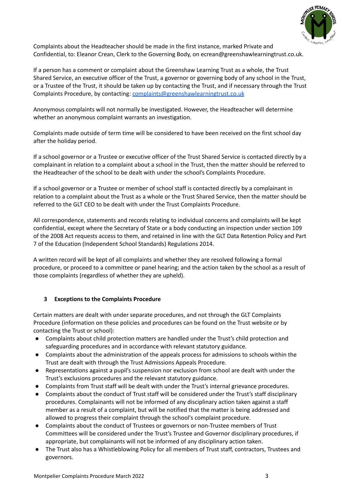

Complaints about the Headteacher should be made in the first instance, marked Private and Confidential, to: Eleanor Crean, Clerk to the Governing Body, on ecrean@greenshawlearningtrust.co.uk.

If a person has a comment or complaint about the Greenshaw Learning Trust as a whole, the Trust Shared Service, an executive officer of the Trust, a governor or governing body of any school in the Trust, or a Trustee of the Trust, it should be taken up by contacting the Trust, and if necessary through the Trust Complaints Procedure, by contacting: [complaints@greenshawlearningtrust.co.uk](mailto:complaints@greenshawlearningtrust.co.uk)

Anonymous complaints will not normally be investigated. However, the Headteacher will determine whether an anonymous complaint warrants an investigation.

Complaints made outside of term time will be considered to have been received on the first school day after the holiday period.

If a school governor or a Trustee or executive officer of the Trust Shared Service is contacted directly by a complainant in relation to a complaint about a school in the Trust, then the matter should be referred to the Headteacher of the school to be dealt with under the school's Complaints Procedure.

If a school governor or a Trustee or member of school staff is contacted directly by a complainant in relation to a complaint about the Trust as a whole or the Trust Shared Service, then the matter should be referred to the GLT CEO to be dealt with under the Trust Complaints Procedure.

All correspondence, statements and records relating to individual concerns and complaints will be kept confidential, except where the Secretary of State or a body conducting an inspection under section 109 of the 2008 Act requests access to them, and retained in line with the GLT Data Retention Policy and Part 7 of the Education (Independent School Standards) Regulations 2014.

A written record will be kept of all complaints and whether they are resolved following a formal procedure, or proceed to a committee or panel hearing; and the action taken by the school as a result of those complaints (regardless of whether they are upheld).

# <span id="page-3-0"></span>**3 Exceptions to the Complaints Procedure**

Certain matters are dealt with under separate procedures, and not through the GLT Complaints Procedure (information on these policies and procedures can be found on the Trust website or by contacting the Trust or school):

- Complaints about child protection matters are handled under the Trust's child protection and safeguarding procedures and in accordance with relevant statutory guidance.
- Complaints about the administration of the appeals process for admissions to schools within the Trust are dealt with through the Trust Admissions Appeals Procedure.
- Representations against a pupil's suspension nor exclusion from school are dealt with under the Trust's exclusions procedures and the relevant statutory guidance.
- Complaints from Trust staff will be dealt with under the Trust's internal grievance procedures.
- Complaints about the conduct of Trust staff will be considered under the Trust's staff disciplinary procedures. Complainants will not be informed of any disciplinary action taken against a staff member as a result of a complaint, but will be notified that the matter is being addressed and allowed to progress their complaint through the school's complaint procedure.
- Complaints about the conduct of Trustees or governors or non-Trustee members of Trust Committees will be considered under the Trust's Trustee and Governor disciplinary procedures, if appropriate, but complainants will not be informed of any disciplinary action taken.
- The Trust also has a Whistleblowing Policy for all members of Trust staff, contractors, Trustees and governors.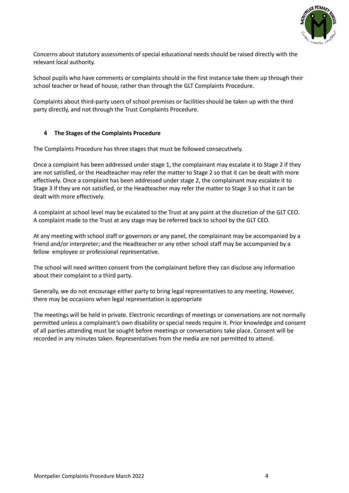

Concerns about statutory assessments of special educational needs should be raised directly with the relevant local authority.

School pupils who have comments or complaints should in the first instance take them up through their school teacher or head of house, rather than through the GLT Complaints Procedure.

Complaints about third-party users of school premises or facilities should be taken up with the third party directly, and not through the Trust Complaints Procedure.

#### <span id="page-4-0"></span>**4 The Stages of the Complaints Procedure**

The Complaints Procedure has three stages that must be followed consecutively.

Once a complaint has been addressed under stage 1, the complainant may escalate it to Stage 2 if they are not satisfied, or the Headteacher may refer the matter to Stage 2 so that it can be dealt with more effectively. Once a complaint has been addressed under stage 2, the complainant may escalate it to Stage 3 if they are not satisfied, or the Headteacher may refer the matter to Stage 3 so that it can be dealt with more effectively.

A complaint at school level may be escalated to the Trust at any point at the discretion of the GLT CEO. A complaint made to the Trust at any stage may be referred back to school by the GLT CEO.

At any meeting with school staff or governors or any panel, the complainant may be accompanied by a friend and/or interpreter; and the Headteacher or any other school staff may be accompanied by a fellow employee or professional representative.

The school will need written consent from the complainant before they can disclose any information about their complaint to a third party.

Generally, we do not encourage either party to bring legal representatives to any meeting. However, there may be occasions when legal representation is appropriate

The meetings will be held in private. Electronic recordings of meetings or conversations are not normally permitted unless a complainant's own disability or special needs require it. Prior knowledge and consent of all parties attending must be sought before meetings or conversations take place. Consent will be recorded in any minutes taken. Representatives from the media are not permitted to attend.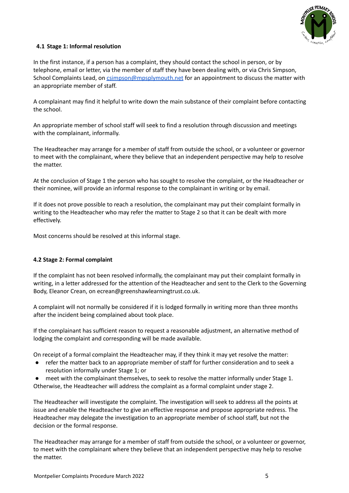

# <span id="page-5-0"></span>**4.1 Stage 1: Informal resolution**

In the first instance, if a person has a complaint, they should contact the school in person, or by telephone, email or letter, via the member of staff they have been dealing with, or via Chris Simpson, School Complaints Lead, on [csimpson@mpsplymouth.net](mailto:csimpson@mpsplymouth.net) for an appointment to discuss the matter with an appropriate member of staff.

A complainant may find it helpful to write down the main substance of their complaint before contacting the school.

An appropriate member of school staff will seek to find a resolution through discussion and meetings with the complainant, informally.

The Headteacher may arrange for a member of staff from outside the school, or a volunteer or governor to meet with the complainant, where they believe that an independent perspective may help to resolve the matter.

At the conclusion of Stage 1 the person who has sought to resolve the complaint, or the Headteacher or their nominee, will provide an informal response to the complainant in writing or by email.

If it does not prove possible to reach a resolution, the complainant may put their complaint formally in writing to the Headteacher who may refer the matter to Stage 2 so that it can be dealt with more effectively.

Most concerns should be resolved at this informal stage.

# <span id="page-5-1"></span>**4.2 Stage 2: Formal complaint**

If the complaint has not been resolved informally, the complainant may put their complaint formally in writing, in a letter addressed for the attention of the Headteacher and sent to the Clerk to the Governing Body, Eleanor Crean, on ecrean@greenshawlearningtrust.co.uk.

A complaint will not normally be considered if it is lodged formally in writing more than three months after the incident being complained about took place.

If the complainant has sufficient reason to request a reasonable adjustment, an alternative method of lodging the complaint and corresponding will be made available.

On receipt of a formal complaint the Headteacher may, if they think it may yet resolve the matter:

- refer the matter back to an appropriate member of staff for further consideration and to seek a resolution informally under Stage 1; or
- meet with the complainant themselves, to seek to resolve the matter informally under Stage 1. Otherwise, the Headteacher will address the complaint as a formal complaint under stage 2.

The Headteacher will investigate the complaint. The investigation will seek to address all the points at issue and enable the Headteacher to give an effective response and propose appropriate redress. The Headteacher may delegate the investigation to an appropriate member of school staff, but not the decision or the formal response.

The Headteacher may arrange for a member of staff from outside the school, or a volunteer or governor, to meet with the complainant where they believe that an independent perspective may help to resolve the matter.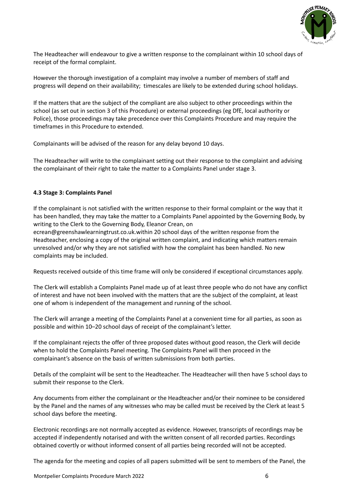

The Headteacher will endeavour to give a written response to the complainant within 10 school days of receipt of the formal complaint.

However the thorough investigation of a complaint may involve a number of members of staff and progress will depend on their availability; timescales are likely to be extended during school holidays.

If the matters that are the subject of the compliant are also subject to other proceedings within the school (as set out in section 3 of this Procedure) or external proceedings (eg DfE, local authority or Police), those proceedings may take precedence over this Complaints Procedure and may require the timeframes in this Procedure to extended.

Complainants will be advised of the reason for any delay beyond 10 days.

The Headteacher will write to the complainant setting out their response to the complaint and advising the complainant of their right to take the matter to a Complaints Panel under stage 3.

#### <span id="page-6-0"></span>**4.3 Stage 3: Complaints Panel**

If the complainant is not satisfied with the written response to their formal complaint or the way that it has been handled, they may take the matter to a Complaints Panel appointed by the Governing Body, by writing to the Clerk to the Governing Body, Eleanor Crean, on

ecrean@greenshawlearningtrust.co.uk.within 20 school days of the written response from the Headteacher, enclosing a copy of the original written complaint, and indicating which matters remain unresolved and/or why they are not satisfied with how the complaint has been handled. No new complaints may be included.

Requests received outside of this time frame will only be considered if exceptional circumstances apply.

The Clerk will establish a Complaints Panel made up of at least three people who do not have any conflict of interest and have not been involved with the matters that are the subject of the complaint, at least one of whom is independent of the management and running of the school.

The Clerk will arrange a meeting of the Complaints Panel at a convenient time for all parties, as soon as possible and within 10–20 school days of receipt of the complainant's letter.

If the complainant rejects the offer of three proposed dates without good reason, the Clerk will decide when to hold the Complaints Panel meeting. The Complaints Panel will then proceed in the complainant's absence on the basis of written submissions from both parties.

Details of the complaint will be sent to the Headteacher. The Headteacher will then have 5 school days to submit their response to the Clerk.

Any documents from either the complainant or the Headteacher and/or their nominee to be considered by the Panel and the names of any witnesses who may be called must be received by the Clerk at least 5 school days before the meeting.

Electronic recordings are not normally accepted as evidence. However, transcripts of recordings may be accepted if independently notarised and with the written consent of all recorded parties. Recordings obtained covertly or without informed consent of all parties being recorded will not be accepted.

The agenda for the meeting and copies of all papers submitted will be sent to members of the Panel, the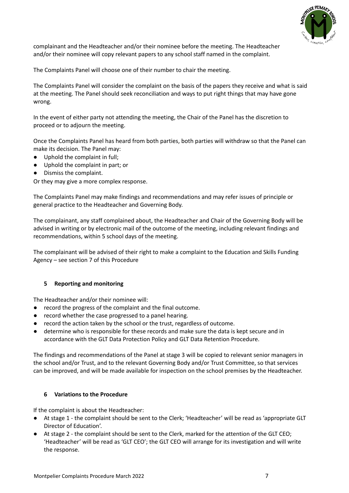

complainant and the Headteacher and/or their nominee before the meeting. The Headteacher and/or their nominee will copy relevant papers to any school staff named in the complaint.

The Complaints Panel will choose one of their number to chair the meeting.

The Complaints Panel will consider the complaint on the basis of the papers they receive and what is said at the meeting. The Panel should seek reconciliation and ways to put right things that may have gone wrong.

In the event of either party not attending the meeting, the Chair of the Panel has the discretion to proceed or to adjourn the meeting.

Once the Complaints Panel has heard from both parties, both parties will withdraw so that the Panel can make its decision. The Panel may:

- Uphold the complaint in full;
- Uphold the complaint in part; or
- Dismiss the complaint.

Or they may give a more complex response.

The Complaints Panel may make findings and recommendations and may refer issues of principle or general practice to the Headteacher and Governing Body.

The complainant, any staff complained about, the Headteacher and Chair of the Governing Body will be advised in writing or by electronic mail of the outcome of the meeting, including relevant findings and recommendations, within 5 school days of the meeting.

The complainant will be advised of their right to make a complaint to the Education and Skills Funding Agency – see section 7 of this Procedure

#### <span id="page-7-0"></span>**5 Reporting and monitoring**

The Headteacher and/or their nominee will:

- record the progress of the complaint and the final outcome.
- record whether the case progressed to a panel hearing.
- record the action taken by the school or the trust, regardless of outcome.
- determine who is responsible for these records and make sure the data is kept secure and in accordance with the GLT Data Protection Policy and GLT Data Retention Procedure.

The findings and recommendations of the Panel at stage 3 will be copied to relevant senior managers in the school and/or Trust, and to the relevant Governing Body and/or Trust Committee, so that services can be improved, and will be made available for inspection on the school premises by the Headteacher.

#### <span id="page-7-1"></span>**6 Variations to the Procedure**

If the complaint is about the Headteacher:

- At stage 1 the complaint should be sent to the Clerk; 'Headteacher' will be read as 'appropriate GLT Director of Education'.
- At stage 2 the complaint should be sent to the Clerk, marked for the attention of the GLT CEO; 'Headteacher' will be read as 'GLT CEO'; the GLT CEO will arrange for its investigation and will write the response.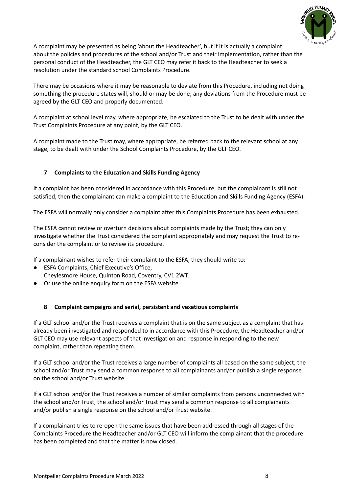

A complaint may be presented as being 'about the Headteacher', but if it is actually a complaint about the policies and procedures of the school and/or Trust and their implementation, rather than the personal conduct of the Headteacher, the GLT CEO may refer it back to the Headteacher to seek a resolution under the standard school Complaints Procedure.

There may be occasions where it may be reasonable to deviate from this Procedure, including not doing something the procedure states will, should or may be done; any deviations from the Procedure must be agreed by the GLT CEO and properly documented.

A complaint at school level may, where appropriate, be escalated to the Trust to be dealt with under the Trust Complaints Procedure at any point, by the GLT CEO.

A complaint made to the Trust may, where appropriate, be referred back to the relevant school at any stage, to be dealt with under the School Complaints Procedure, by the GLT CEO.

# <span id="page-8-0"></span>**7 Complaints to the Education and Skills Funding Agency**

If a complaint has been considered in accordance with this Procedure, but the complainant is still not satisfied, then the complainant can make a complaint to the Education and Skills Funding Agency (ESFA).

The ESFA will normally only consider a complaint after this Complaints Procedure has been exhausted.

The ESFA cannot review or overturn decisions about complaints made by the Trust; they can only investigate whether the Trust considered the complaint appropriately and may request the Trust to reconsider the complaint or to review its procedure.

If a complainant wishes to refer their complaint to the ESFA, they should write to:

- ESFA Complaints, Chief Executive's Office. Cheylesmore House, Quinton Road, Coventry, CV1 2WT.
- Or use the online enquiry form on the ESFA website

#### <span id="page-8-1"></span>**8 Complaint campaigns and serial, persistent and vexatious complaints**

If a GLT school and/or the Trust receives a complaint that is on the same subject as a complaint that has already been investigated and responded to in accordance with this Procedure, the Headteacher and/or GLT CEO may use relevant aspects of that investigation and response in responding to the new complaint, rather than repeating them.

If a GLT school and/or the Trust receives a large number of complaints all based on the same subject, the school and/or Trust may send a common response to all complainants and/or publish a single response on the school and/or Trust website.

If a GLT school and/or the Trust receives a number of similar complaints from persons unconnected with the school and/or Trust, the school and/or Trust may send a common response to all complainants and/or publish a single response on the school and/or Trust website.

If a complainant tries to re-open the same issues that have been addressed through all stages of the Complaints Procedure the Headteacher and/or GLT CEO will inform the complainant that the procedure has been completed and that the matter is now closed.